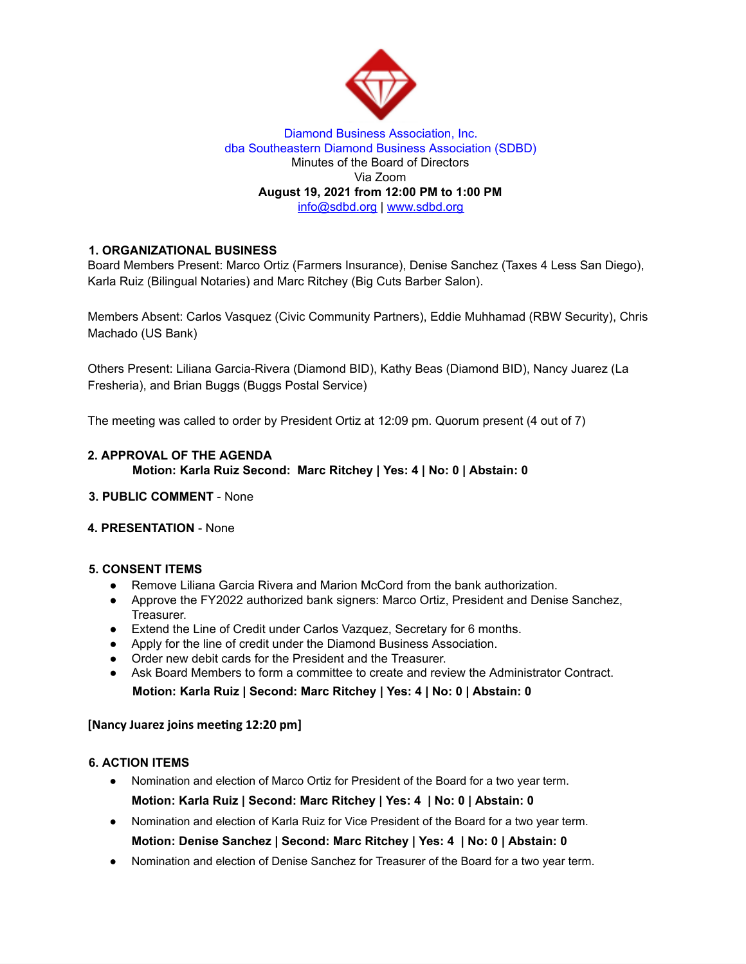

### Diamond Business Association, Inc. dba Southeastern Diamond Business Association (SDBD) Minutes of the Board of Directors Via Zoom **August 19, 2021 from 12:00 PM to 1:00 PM** info@sdbd.org | www.sdbd.org

# **1. ORGANIZATIONAL BUSINESS**

Board Members Present: Marco Ortiz (Farmers Insurance), Denise Sanchez (Taxes 4 Less San Diego), Karla Ruiz (Bilingual Notaries) and Marc Ritchey (Big Cuts Barber Salon).

Members Absent: Carlos Vasquez (Civic Community Partners), Eddie Muhhamad (RBW Security), Chris Machado (US Bank)

Others Present: Liliana Garcia-Rivera (Diamond BID), Kathy Beas (Diamond BID), Nancy Juarez (La Fresheria), and Brian Buggs (Buggs Postal Service)

The meeting was called to order by President Ortiz at 12:09 pm. Quorum present (4 out of 7)

## **2. APPROVAL OF THE AGENDA Motion: Karla Ruiz Second: Marc Ritchey | Yes: 4 | No: 0 | Abstain: 0**

**3. PUBLIC COMMENT** - None

### **4. PRESENTATION** - None

## **5. CONSENT ITEMS**

- Remove Liliana Garcia Rivera and Marion McCord from the bank authorization.
- Approve the FY2022 authorized bank signers: Marco Ortiz, President and Denise Sanchez, Treasurer.
- Extend the Line of Credit under Carlos Vazquez, Secretary for 6 months.
- Apply for the line of credit under the Diamond Business Association.
- Order new debit cards for the President and the Treasurer.
- Ask Board Members to form a committee to create and review the Administrator Contract. **Motion: Karla Ruiz | Second: Marc Ritchey | Yes: 4 | No: 0 | Abstain: 0**

### **[Nancy Juarez joins meeting 12:20 pm]**

# **6. ACTION ITEMS**

- Nomination and election of Marco Ortiz for President of the Board for a two year term. **Motion: Karla Ruiz | Second: Marc Ritchey | Yes: 4 | No: 0 | Abstain: 0**
- Nomination and election of Karla Ruiz for Vice President of the Board for a two year term. **Motion: Denise Sanchez | Second: Marc Ritchey | Yes: 4 | No: 0 | Abstain: 0**
- Nomination and election of Denise Sanchez for Treasurer of the Board for a two year term.